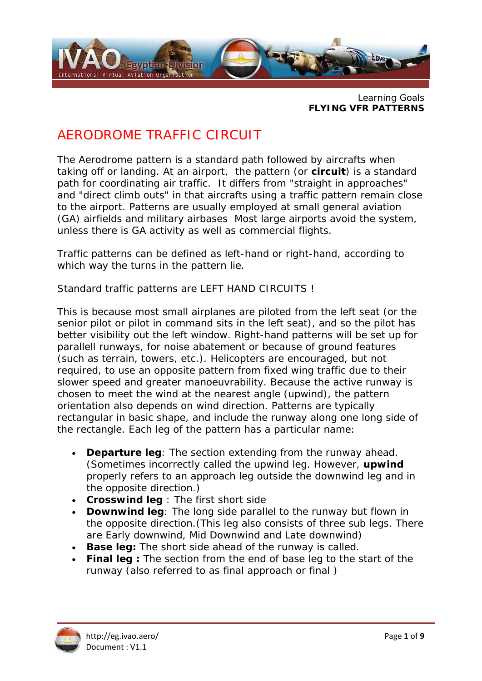

Learning Goals **FLYING VFR PATTERNS** 

# AERODROME TRAFFIC CIRCUIT

The Aerodrome pattern is a standard path followed by aircrafts when taking off or landing. At an airport, the pattern (or **circuit**) is a standard path for coordinating air traffic. It differs from "straight in approaches" and "direct climb outs" in that aircrafts using a traffic pattern remain close to the airport. Patterns are usually employed at small general aviation (GA) airfields and military airbases Most large airports avoid the system, unless there is GA activity as well as commercial flights.

Traffic patterns can be defined as left-hand or right-hand, according to which way the turns in the pattern lie.

Standard traffic patterns are LEFT HAND CIRCUITS !

This is because most small airplanes are piloted from the left seat (or the senior pilot or pilot in command sits in the left seat), and so the pilot has better visibility out the left window. Right-hand patterns will be set up for parallell runways, for noise abatement or because of ground features (such as terrain, towers, etc.). Helicopters are encouraged, but not required, to use an opposite pattern from fixed wing traffic due to their slower speed and greater manoeuvrability. Because the active runway is chosen to meet the wind at the nearest angle (upwind), the pattern orientation also depends on wind direction. Patterns are typically rectangular in basic shape, and include the runway along one long side of the rectangle. Each leg of the pattern has a particular name:

- **Departure leg**: The section extending from the runway ahead. (Sometimes incorrectly called the *upwind leg*. However, *upwind* properly refers to an approach leg outside the downwind leg and in the opposite direction.)
- **Crosswind leg** : The first short side
- **Downwind leg**: The long side parallel to the runway but flown in the opposite direction.(This leg also consists of three sub legs. There are Early downwind, Mid Downwind and Late downwind)
- **Base leg:** The short side ahead of the runway is called.
- **Final leg :** The section from the end of base leg to the start of the runway (also referred to as *final approach* or *final* )

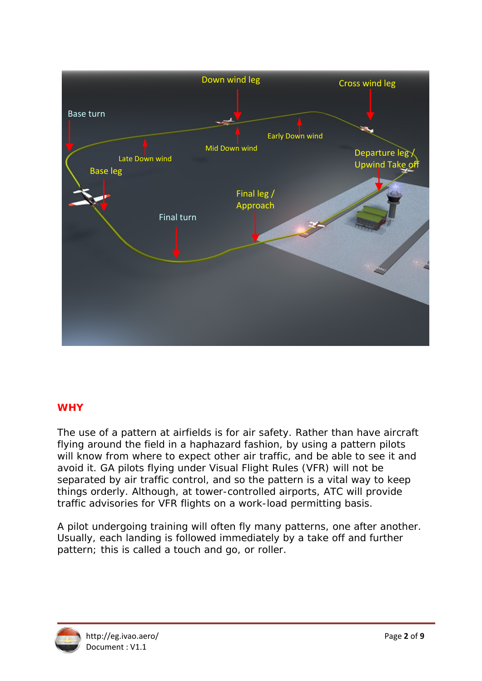

## **WHY**

The use of a pattern at airfields is for air safety. Rather than have aircraft flying around the field in a haphazard fashion, by using a pattern pilots will know from where to expect other air traffic, and be able to see it and avoid it. GA pilots flying under Visual Flight Rules (VFR) will not be separated by air traffic control, and so the pattern is a vital way to keep things orderly. Although, at tower-controlled airports, ATC will provide traffic advisories for VFR flights on a work-load permitting basis.

A pilot undergoing training will often fly many patterns, one after another. Usually, each landing is followed immediately by a take off and further pattern; this is called a touch and go, or roller.

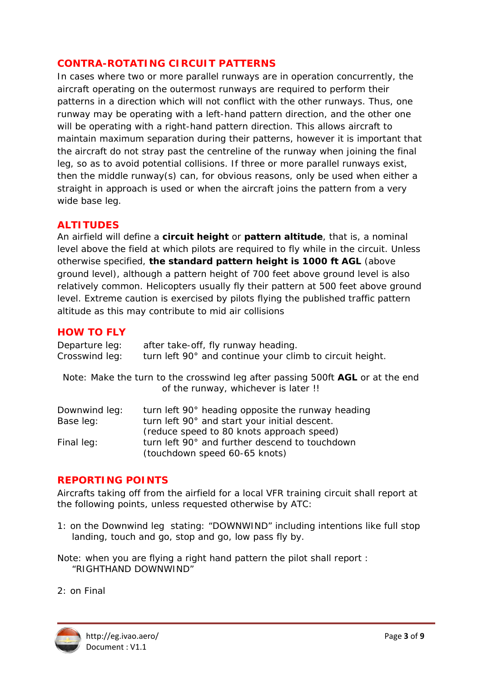#### **CONTRA-ROTATING CIRCUIT PATTERNS**

In cases where two or more parallel runways are in operation concurrently, the aircraft operating on the outermost runways are required to perform their patterns in a direction which will not conflict with the other runways. Thus, one runway may be operating with a left-hand pattern direction, and the other one will be operating with a right-hand pattern direction. This allows aircraft to maintain maximum separation during their patterns, however it is important that the aircraft do not stray past the centreline of the runway when joining the final leg, so as to avoid potential collisions. If three or more parallel runways exist, then the middle runway(s) can, for obvious reasons, only be used when either a straight in approach is used or when the aircraft joins the pattern from a very wide base leg.

#### **ALTITUDES**

An airfield will define a **circuit height** or **pattern altitude**, that is, a nominal level above the field at which pilots are required to fly while in the circuit. Unless otherwise specified, **the standard pattern height is 1000 ft AGL** (above ground level), although a pattern height of 700 feet above ground level is also relatively common. Helicopters usually fly their pattern at 500 feet above ground level. Extreme caution is exercised by pilots flying the published traffic pattern altitude as this may contribute to mid air collisions

#### **HOW TO FLY**

| Departure leg:<br>Crosswind leg: | after take-off, fly runway heading.<br>turn left 90° and continue your climb to circuit height.                        |
|----------------------------------|------------------------------------------------------------------------------------------------------------------------|
|                                  | Note: Make the turn to the crosswind leg after passing 500ft AGL or at the end<br>of the runway, whichever is later !! |
| Downwind leg:                    | turn left 90° heading opposite the runway heading                                                                      |
| Base leg:                        | turn left 90° and start your initial descent.                                                                          |
|                                  | (reduce speed to 80 knots approach speed)                                                                              |
| Final leg:                       | turn left 90° and further descend to touchdown                                                                         |
|                                  | (touchdown speed 60-65 knots)                                                                                          |

#### **REPORTING POINTS**

Aircrafts taking off from the airfield for a local VFR training circuit shall report at the following points, unless requested otherwise by ATC:

1: on the Downwind leg stating: "DOWNWIND" including intentions like full stop landing, touch and go, stop and go, low pass fly by.

*Note: when you are flying a right hand pattern the pilot shall report : "RIGHTHAND DOWNWIND"* 

2: on Final

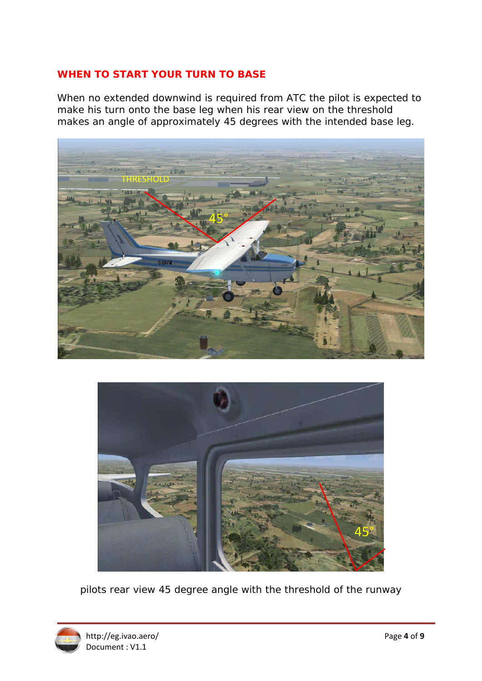#### **WHEN TO START YOUR TURN TO BASE**

When no extended downwind is required from ATC the pilot is expected to make his turn onto the base leg when his rear view on the threshold makes an angle of approximately 45 degrees with the intended base leg.





pilots rear view 45 degree angle with the threshold of the runway

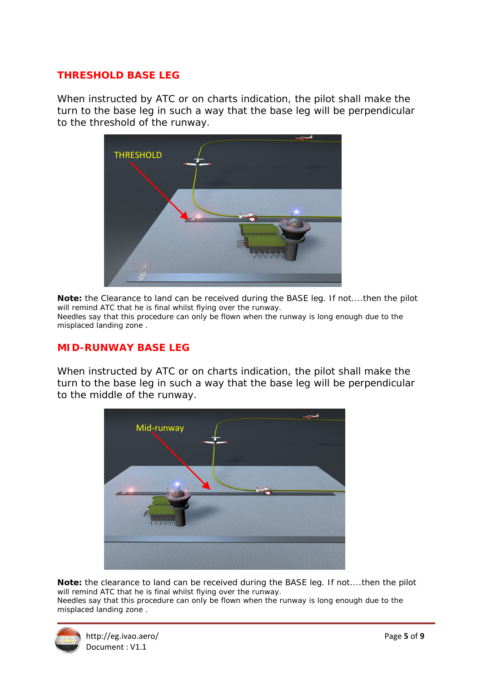#### **THRESHOLD BASE LEG**

When instructed by ATC or on charts indication, the pilot shall make the turn to the base leg in such a way that the base leg will be perpendicular to the threshold of the runway.



**Note:** the Clearance to land can be received during the BASE leg. If not....then the pilot will remind ATC that he is final whilst flying over the runway. Needles say that this procedure can only be flown when the runway is long enough due to the misplaced landing zone .

#### **MID-RUNWAY BASE LEG**

When instructed by ATC or on charts indication, the pilot shall make the turn to the base leg in such a way that the base leg will be perpendicular to the middle of the runway.



**Note:** the clearance to land can be received during the BASE leg. If not....then the pilot will remind ATC that he is final whilst flying over the runway.

Needles say that this procedure can only be flown when the runway is long enough due to the misplaced landing zone .

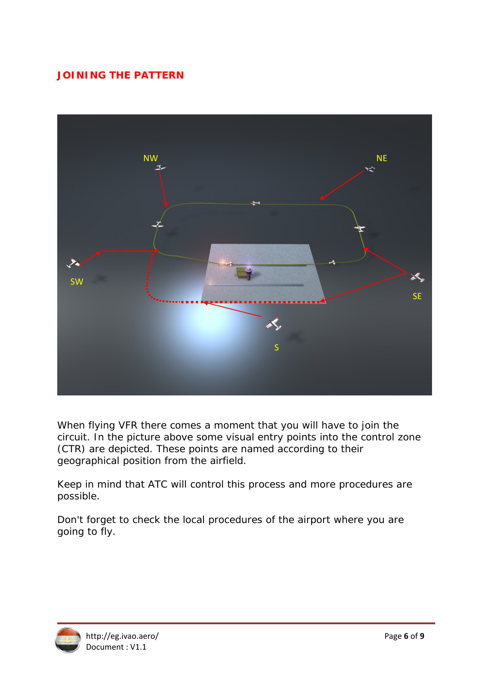# **JOINING THE PATTERN**



When flying VFR there comes a moment that you will have to join the circuit. In the picture above some visual entry points into the control zone (CTR) are depicted. These points are named according to their geographical position from the airfield.

Keep in mind that ATC will control this process and more procedures are possible.

Don't forget to check the local procedures of the airport where you are going to fly.

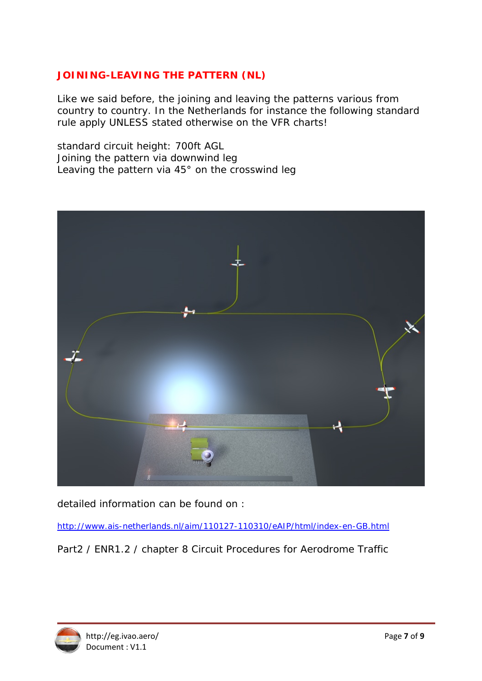### **JOINING-LEAVING THE PATTERN (NL)**

Like we said before, the joining and leaving the patterns various from country to country. In the Netherlands for instance the following standard rule apply UNLESS stated otherwise on the VFR charts!

standard circuit height: 700ft AGL Joining the pattern via downwind leg Leaving the pattern via 45° on the crosswind leg



detailed information can be found on :

http://www.ais-netherlands.nl/aim/110127-110310/eAIP/html/index-en-GB.html

Part2 / ENR1.2 / chapter 8 Circuit Procedures for Aerodrome Traffic

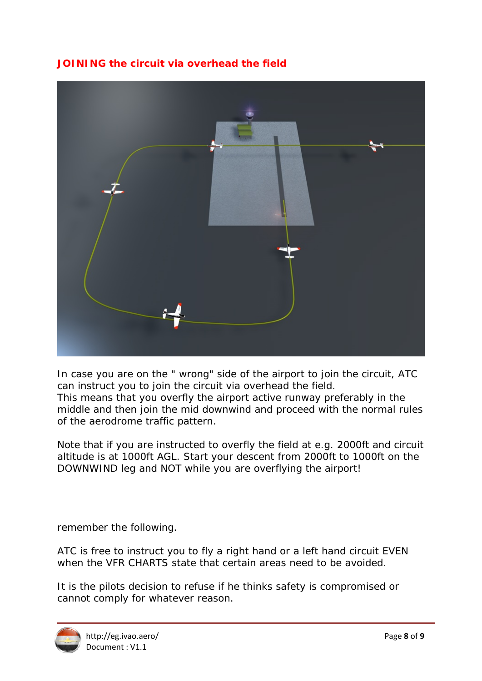## **JOINING the circuit via overhead the field**



In case you are on the " wrong" side of the airport to join the circuit, ATC can instruct you to join the circuit via overhead the field. This means that you overfly the airport active runway preferably in the middle and then join the mid downwind and proceed with the normal rules of the aerodrome traffic pattern.

Note that if you are instructed to overfly the field at e.g. 2000ft and circuit altitude is at 1000ft AGL. Start your descent from 2000ft to 1000ft on the DOWNWIND leg and NOT while you are overflying the airport!

remember the following.

ATC is free to instruct you to fly a right hand or a left hand circuit EVEN when the VFR CHARTS state that certain areas need to be avoided.

It is the pilots decision to refuse if he thinks safety is compromised or cannot comply for whatever reason.